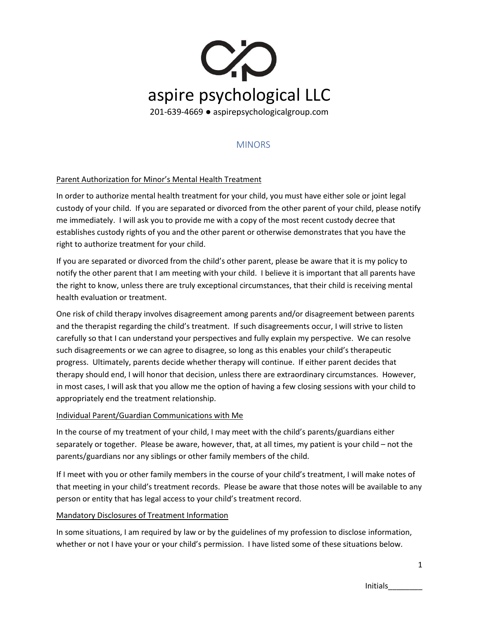

# MINORS

### Parent Authorization for Minor's Mental Health Treatment

In order to authorize mental health treatment for your child, you must have either sole or joint legal custody of your child. If you are separated or divorced from the other parent of your child, please notify me immediately. I will ask you to provide me with a copy of the most recent custody decree that establishes custody rights of you and the other parent or otherwise demonstrates that you have the right to authorize treatment for your child.

If you are separated or divorced from the child's other parent, please be aware that it is my policy to notify the other parent that I am meeting with your child. I believe it is important that all parents have the right to know, unless there are truly exceptional circumstances, that their child is receiving mental health evaluation or treatment.

One risk of child therapy involves disagreement among parents and/or disagreement between parents and the therapist regarding the child's treatment. If such disagreements occur, I will strive to listen carefully so that I can understand your perspectives and fully explain my perspective. We can resolve such disagreements or we can agree to disagree, so long as this enables your child's therapeutic progress. Ultimately, parents decide whether therapy will continue. If either parent decides that therapy should end, I will honor that decision, unless there are extraordinary circumstances. However, in most cases, I will ask that you allow me the option of having a few closing sessions with your child to appropriately end the treatment relationship.

### Individual Parent/Guardian Communications with Me

In the course of my treatment of your child, I may meet with the child's parents/guardians either separately or together. Please be aware, however, that, at all times, my patient is your child – not the parents/guardians nor any siblings or other family members of the child.

If I meet with you or other family members in the course of your child's treatment, I will make notes of that meeting in your child's treatment records. Please be aware that those notes will be available to any person or entity that has legal access to your child's treatment record.

### Mandatory Disclosures of Treatment Information

In some situations, I am required by law or by the guidelines of my profession to disclose information, whether or not I have your or your child's permission. I have listed some of these situations below.

1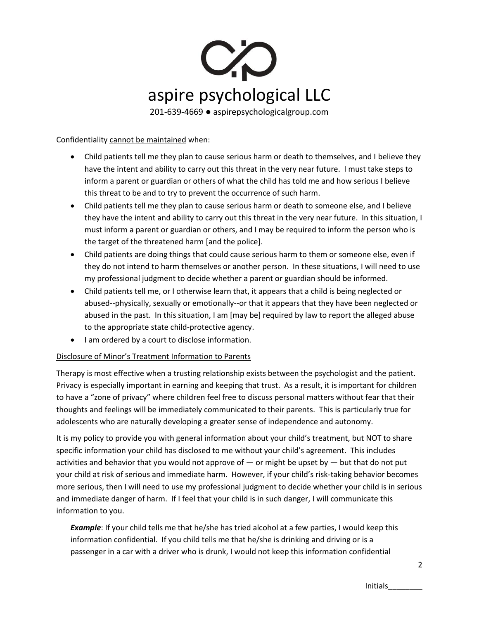

Confidentiality cannot be maintained when:

- Child patients tell me they plan to cause serious harm or death to themselves, and I believe they have the intent and ability to carry out this threat in the very near future. I must take steps to inform a parent or guardian or others of what the child has told me and how serious I believe this threat to be and to try to prevent the occurrence of such harm.
- Child patients tell me they plan to cause serious harm or death to someone else, and I believe they have the intent and ability to carry out this threat in the very near future. In this situation, I must inform a parent or guardian or others, and I may be required to inform the person who is the target of the threatened harm [and the police].
- Child patients are doing things that could cause serious harm to them or someone else, even if they do not intend to harm themselves or another person. In these situations, I will need to use my professional judgment to decide whether a parent or guardian should be informed.
- Child patients tell me, or I otherwise learn that, it appears that a child is being neglected or abused--physically, sexually or emotionally--or that it appears that they have been neglected or abused in the past. In this situation, I am [may be] required by law to report the alleged abuse to the appropriate state child-protective agency.
- I am ordered by a court to disclose information.

## Disclosure of Minor's Treatment Information to Parents

Therapy is most effective when a trusting relationship exists between the psychologist and the patient. Privacy is especially important in earning and keeping that trust. As a result, it is important for children to have a "zone of privacy" where children feel free to discuss personal matters without fear that their thoughts and feelings will be immediately communicated to their parents. This is particularly true for adolescents who are naturally developing a greater sense of independence and autonomy.

It is my policy to provide you with general information about your child's treatment, but NOT to share specific information your child has disclosed to me without your child's agreement. This includes activities and behavior that you would not approve of  $-$  or might be upset by  $-$  but that do not put your child at risk of serious and immediate harm. However, if your child's risk-taking behavior becomes more serious, then I will need to use my professional judgment to decide whether your child is in serious and immediate danger of harm. If I feel that your child is in such danger, I will communicate this information to you.

*Example*: If your child tells me that he/she has tried alcohol at a few parties, I would keep this information confidential. If you child tells me that he/she is drinking and driving or is a passenger in a car with a driver who is drunk, I would not keep this information confidential

Initials\_\_\_\_\_\_\_\_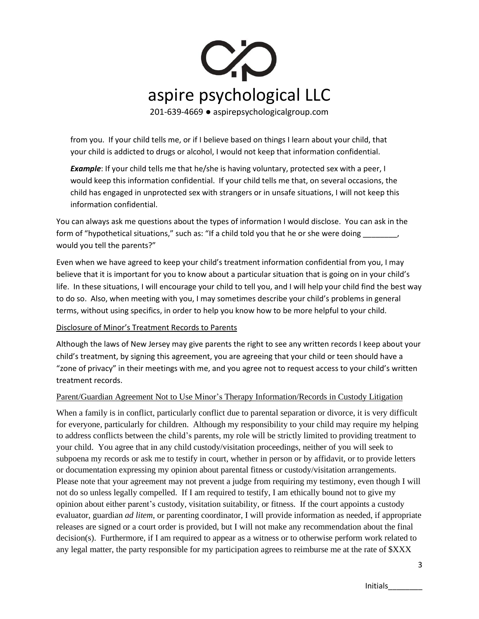

from you. If your child tells me, or if I believe based on things I learn about your child, that your child is addicted to drugs or alcohol, I would not keep that information confidential.

**Example**: If your child tells me that he/she is having voluntary, protected sex with a peer, I would keep this information confidential. If your child tells me that, on several occasions, the child has engaged in unprotected sex with strangers or in unsafe situations, I will not keep this information confidential.

You can always ask me questions about the types of information I would disclose. You can ask in the form of "hypothetical situations," such as: "If a child told you that he or she were doing  $\sim$ would you tell the parents?"

Even when we have agreed to keep your child's treatment information confidential from you, I may believe that it is important for you to know about a particular situation that is going on in your child's life. In these situations, I will encourage your child to tell you, and I will help your child find the best way to do so. Also, when meeting with you, I may sometimes describe your child's problems in general terms, without using specifics, in order to help you know how to be more helpful to your child.

### Disclosure of Minor's Treatment Records to Parents

Although the laws of New Jersey may give parents the right to see any written records I keep about your child's treatment, by signing this agreement, you are agreeing that your child or teen should have a "zone of privacy" in their meetings with me, and you agree not to request access to your child's written treatment records.

## Parent/Guardian Agreement Not to Use Minor's Therapy Information/Records in Custody Litigation

When a family is in conflict, particularly conflict due to parental separation or divorce, it is very difficult for everyone, particularly for children. Although my responsibility to your child may require my helping to address conflicts between the child's parents, my role will be strictly limited to providing treatment to your child. You agree that in any child custody/visitation proceedings, neither of you will seek to subpoena my records or ask me to testify in court, whether in person or by affidavit, or to provide letters or documentation expressing my opinion about parental fitness or custody/visitation arrangements. Please note that your agreement may not prevent a judge from requiring my testimony, even though I will not do so unless legally compelled. If I am required to testify, I am ethically bound not to give my opinion about either parent's custody, visitation suitability, or fitness. If the court appoints a custody evaluator, guardian *ad litem*, or parenting coordinator, I will provide information as needed, if appropriate releases are signed or a court order is provided, but I will not make any recommendation about the final decision(s). Furthermore, if I am required to appear as a witness or to otherwise perform work related to any legal matter, the party responsible for my participation agrees to reimburse me at the rate of \$XXX

3